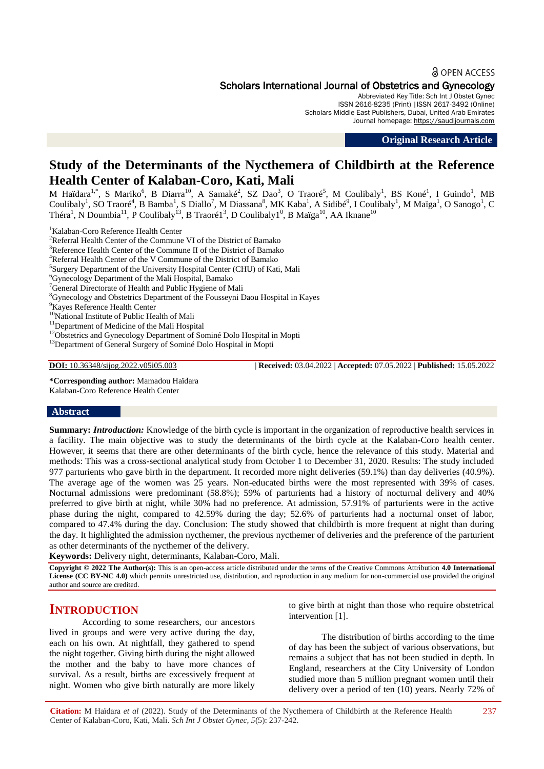## **a** OPEN ACCESS

# Scholars International Journal of Obstetrics and Gynecology

Abbreviated Key Title: Sch Int J Obstet Gynec ISSN 2616-8235 (Print) |ISSN 2617-3492 (Online) Scholars Middle East Publishers, Dubai, United Arab Emirates Journal homepage: [https://saudijournals.com](https://saudijournals.com/sijog)

**Original Research Article**

# **Study of the Determinants of the Nycthemera of Childbirth at the Reference Health Center of Kalaban-Coro, Kati, Mali**

M Haïdara<sup>1,\*</sup>, S Mariko<sup>6</sup>, B Diarra<sup>10</sup>, A Samaké<sup>2</sup>, SZ Dao<sup>3</sup>, O Traoré<sup>5</sup>, M Coulibaly<sup>1</sup>, BS Koné<sup>1</sup>, I Guindo<sup>1</sup>, MB Coulibaly<sup>1</sup>, SO Traoré<sup>4</sup>, B Bamba<sup>1</sup>, S Diallo<sup>7</sup>, M Diassana<sup>8</sup>, MK Kaba<sup>1</sup>, A Sidibé<sup>9</sup>, I Coulibaly<sup>1</sup>, M Maïga<sup>1</sup>, O Sanogo<sup>1</sup>, C Théra<sup>1</sup>, N Doumbia<sup>11</sup>, P Coulibaly<sup>13</sup>, B Traoré1<sup>3</sup>, D Coulibaly1<sup>0</sup>, B Maïga<sup>10</sup>, AA Iknane<sup>10</sup>

<sup>1</sup>Kalaban-Coro Reference Health Center

 $2R$ eferral Health Center of the Commune VI of the District of Bamako

<sup>3</sup>Reference Health Center of the Commune II of the District of Bamako

<sup>4</sup>Referral Health Center of the V Commune of the District of Bamako

<sup>5</sup>Surgery Department of the University Hospital Center (CHU) of Kati, Mali

<sup>6</sup>Gynecology Department of the Mali Hospital, Bamako

<sup>7</sup>General Directorate of Health and Public Hygiene of Mali

<sup>8</sup>Gynecology and Obstetrics Department of the Fousseyni Daou Hospital in Kayes

<sup>9</sup>Kayes Reference Health Center

<sup>10</sup>National Institute of Public Health of Mali

<sup>11</sup>Department of Medicine of the Mali Hospital

<sup>12</sup>Obstetrics and Gynecology Department of Sominé Dolo Hospital in Mopti

<sup>13</sup>Department of General Surgery of Sominé Dolo Hospital in Mopti

**DOI:** 10.36348/sijog.2022.v05i05.003 | **Received:** 03.04.2022 | **Accepted:** 07.05.2022 | **Published:** 15.05.2022

**\*Corresponding author:** Mamadou Haïdara Kalaban-Coro Reference Health Center

#### **Abstract**

**Summary:** *Introduction:* Knowledge of the birth cycle is important in the organization of reproductive health services in a facility. The main objective was to study the determinants of the birth cycle at the Kalaban-Coro health center. However, it seems that there are other determinants of the birth cycle, hence the relevance of this study. Material and methods: This was a cross-sectional analytical study from October 1 to December 31, 2020. Results: The study included 977 parturients who gave birth in the department. It recorded more night deliveries (59.1%) than day deliveries (40.9%). The average age of the women was 25 years. Non-educated births were the most represented with 39% of cases. Nocturnal admissions were predominant (58.8%); 59% of parturients had a history of nocturnal delivery and 40% preferred to give birth at night, while 30% had no preference. At admission, 57.91% of parturients were in the active phase during the night, compared to 42.59% during the day; 52.6% of parturients had a nocturnal onset of labor, compared to 47.4% during the day. Conclusion: The study showed that childbirth is more frequent at night than during the day. It highlighted the admission nycthemer, the previous nycthemer of deliveries and the preference of the parturient as other determinants of the nycthemer of the delivery.

**Keywords:** Delivery night, determinants, Kalaban-Coro, Mali.

**Copyright © 2022 The Author(s):** This is an open-access article distributed under the terms of the Creative Commons Attribution **4.0 International License (CC BY-NC 4.0)** which permits unrestricted use, distribution, and reproduction in any medium for non-commercial use provided the original author and source are credited.

# **INTRODUCTION**

According to some researchers, our ancestors lived in groups and were very active during the day, each on his own. At nightfall, they gathered to spend the night together. Giving birth during the night allowed the mother and the baby to have more chances of survival. As a result, births are excessively frequent at night. Women who give birth naturally are more likely

to give birth at night than those who require obstetrical intervention [1].

The distribution of births according to the time of day has been the subject of various observations, but remains a subject that has not been studied in depth. In England, researchers at the City University of London studied more than 5 million pregnant women until their delivery over a period of ten (10) years. Nearly 72% of

**Citation:** M Haïdara *et al* (2022). Study of the Determinants of the Nycthemera of Childbirth at the Reference Health Center of Kalaban-Coro, Kati, Mali. *Sch Int J Obstet Gynec, 5*(5): 237-242.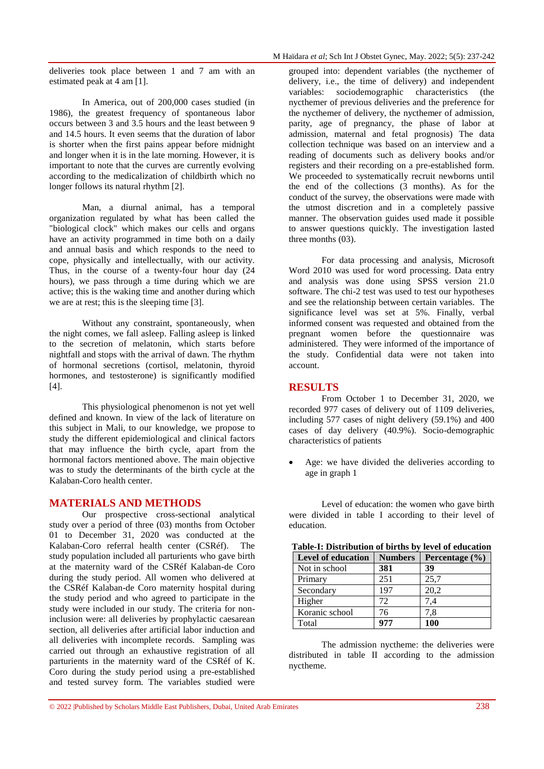deliveries took place between 1 and 7 am with an estimated peak at 4 am [1].

In America, out of 200,000 cases studied (in 1986), the greatest frequency of spontaneous labor occurs between 3 and 3.5 hours and the least between 9 and 14.5 hours. It even seems that the duration of labor is shorter when the first pains appear before midnight and longer when it is in the late morning. However, it is important to note that the curves are currently evolving according to the medicalization of childbirth which no longer follows its natural rhythm [2].

Man, a diurnal animal, has a temporal organization regulated by what has been called the "biological clock" which makes our cells and organs have an activity programmed in time both on a daily and annual basis and which responds to the need to cope, physically and intellectually, with our activity. Thus, in the course of a twenty-four hour day (24 hours), we pass through a time during which we are active; this is the waking time and another during which we are at rest; this is the sleeping time [3].

Without any constraint, spontaneously, when the night comes, we fall asleep. Falling asleep is linked to the secretion of melatonin, which starts before nightfall and stops with the arrival of dawn. The rhythm of hormonal secretions (cortisol, melatonin, thyroid hormones, and testosterone) is significantly modified [4].

This physiological phenomenon is not yet well defined and known. In view of the lack of literature on this subject in Mali, to our knowledge, we propose to study the different epidemiological and clinical factors that may influence the birth cycle, apart from the hormonal factors mentioned above. The main objective was to study the determinants of the birth cycle at the Kalaban-Coro health center.

## **MATERIALS AND METHODS**

Our prospective cross-sectional analytical study over a period of three (03) months from October 01 to December 31, 2020 was conducted at the Kalaban-Coro referral health center (CSRéf). The study population included all parturients who gave birth at the maternity ward of the CSRéf Kalaban-de Coro during the study period. All women who delivered at the CSRéf Kalaban-de Coro maternity hospital during the study period and who agreed to participate in the study were included in our study. The criteria for noninclusion were: all deliveries by prophylactic caesarean section, all deliveries after artificial labor induction and all deliveries with incomplete records. Sampling was carried out through an exhaustive registration of all parturients in the maternity ward of the CSRéf of K. Coro during the study period using a pre-established and tested survey form. The variables studied were grouped into: dependent variables (the nycthemer of delivery, i.e., the time of delivery) and independent variables: sociodemographic characteristics (the nycthemer of previous deliveries and the preference for the nycthemer of delivery, the nycthemer of admission, parity, age of pregnancy, the phase of labor at admission, maternal and fetal prognosis) The data collection technique was based on an interview and a reading of documents such as delivery books and/or registers and their recording on a pre-established form. We proceeded to systematically recruit newborns until the end of the collections (3 months). As for the conduct of the survey, the observations were made with the utmost discretion and in a completely passive manner. The observation guides used made it possible to answer questions quickly. The investigation lasted three months (03).

For data processing and analysis, Microsoft Word 2010 was used for word processing. Data entry and analysis was done using SPSS version 21.0 software. The chi-2 test was used to test our hypotheses and see the relationship between certain variables. The significance level was set at 5%. Finally, verbal informed consent was requested and obtained from the pregnant women before the questionnaire was administered. They were informed of the importance of the study. Confidential data were not taken into account.

## **RESULTS**

**Table-I: Distribution of births by level of education**

From October 1 to December 31, 2020, we recorded 977 cases of delivery out of 1109 deliveries, including 577 cases of night delivery (59.1%) and 400 cases of day delivery (40.9%). Socio-demographic characteristics of patients

 Age: we have divided the deliveries according to age in graph 1

Level of education: the women who gave birth were divided in table I according to their level of education.

| <b>Table-1: Distribution of births by level of education</b> |                |                    |  |
|--------------------------------------------------------------|----------------|--------------------|--|
| <b>Level of education</b>                                    | <b>Numbers</b> | Percentage $(\% )$ |  |
| Not in school                                                | 381            | 39                 |  |
| Primary                                                      | 251            | 25,7               |  |
| Secondary                                                    | 197            | 20,2               |  |
| Higher                                                       | 72             | 7.4                |  |
| Koranic school                                               | 76             | 7,8                |  |
| Total                                                        | 977            | 100                |  |

The admission nyctheme: the deliveries were distributed in table II according to the admission nyctheme.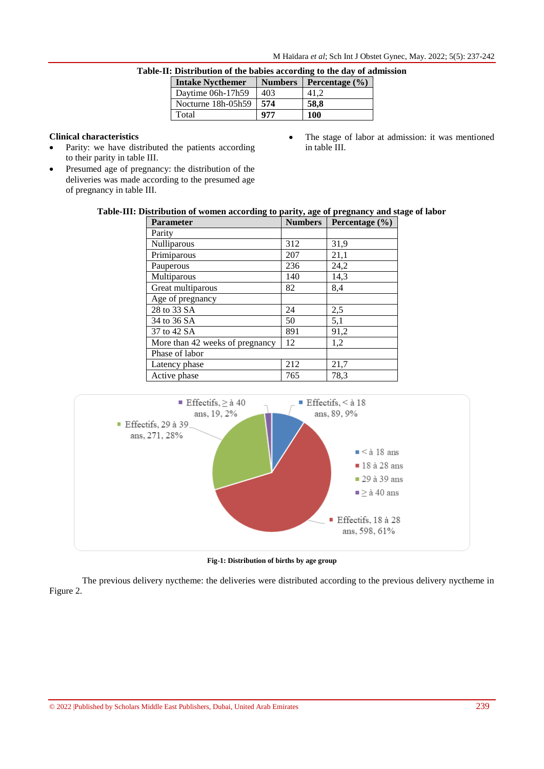| <b>Distribution of the babies according to the uay of au</b> |                |                    |  |
|--------------------------------------------------------------|----------------|--------------------|--|
| <b>Intake Nycthemer</b>                                      | <b>Numbers</b> | Percentage $(\% )$ |  |
| Daytime 06h-17h59                                            | 403            | 41.2               |  |
| Nocturne 18h-05h59                                           | 574            | 58.8               |  |
| Total                                                        | 977            | 100                |  |
|                                                              |                |                    |  |

|  |  |  |  | Table-II: Distribution of the babies according to the day of admission |
|--|--|--|--|------------------------------------------------------------------------|
|  |  |  |  |                                                                        |

# **Clinical characteristics**

- Parity: we have distributed the patients according to their parity in table III.
- Presumed age of pregnancy: the distribution of the deliveries was made according to the presumed age of pregnancy in table III.
- The stage of labor at admission: it was mentioned in table III.

## **Table-III: Distribution of women according to parity, age of pregnancy and stage of labor**

| <b>Parameter</b>                | <b>Numbers</b> | Percentage (%) |
|---------------------------------|----------------|----------------|
| Parity                          |                |                |
| Nulliparous                     | 312            | 31,9           |
| Primiparous                     | 207            | 21,1           |
| Pauperous                       | 236            | 24,2           |
| Multiparous                     | 140            | 14,3           |
| Great multiparous               | 82             | 8,4            |
| Age of pregnancy                |                |                |
| 28 to 33 SA                     | 24             | 2,5            |
| 34 to 36 SA                     | 50             | 5,1            |
| 37 to 42 SA                     | 891            | 91,2           |
| More than 42 weeks of pregnancy | 12             | 1,2            |
| Phase of labor                  |                |                |
| Latency phase                   | 212            | 21,7           |
| Active phase                    | 765            | 78,3           |



**Fig-1: Distribution of births by age group**

The previous delivery nyctheme: the deliveries were distributed according to the previous delivery nyctheme in Figure 2.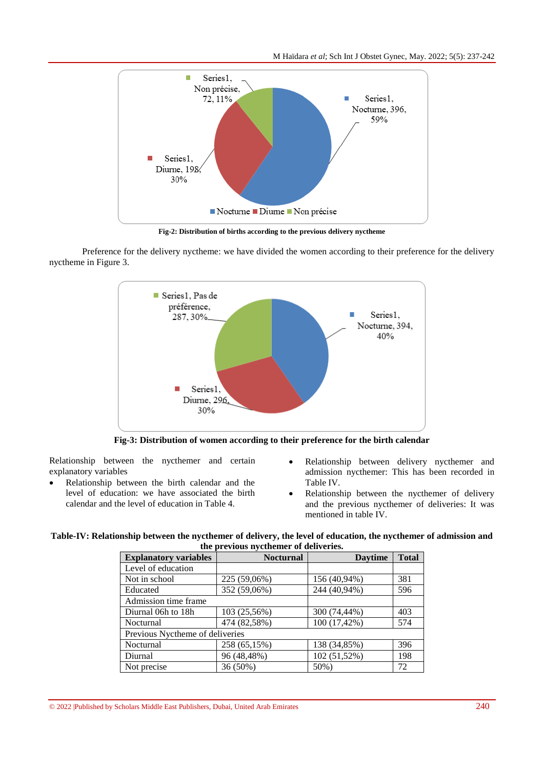M Haïdara *et al*; Sch Int J Obstet Gynec, May. 2022; 5(5): 237-242



**Fig-2: Distribution of births according to the previous delivery nyctheme**

Preference for the delivery nyctheme: we have divided the women according to their preference for the delivery nyctheme in Figure 3.



**Fig-3: Distribution of women according to their preference for the birth calendar**

Relationship between the nycthemer and certain explanatory variables

- Relationship between the birth calendar and the level of education: we have associated the birth calendar and the level of education in Table 4.
- Relationship between delivery nycthemer and admission nycthemer: This has been recorded in Table IV.
- Relationship between the nycthemer of delivery and the previous nycthemer of deliveries: It was mentioned in table IV.

| Table-IV: Relationship between the nycthemer of delivery, the level of education, the nycthemer of admission and |  |
|------------------------------------------------------------------------------------------------------------------|--|
| the previous nycthemer of deliveries.                                                                            |  |

| <b>Explanatory variables</b>    | <b>Nocturnal</b> | <b>Davtime</b> | <b>Total</b> |  |
|---------------------------------|------------------|----------------|--------------|--|
| Level of education              |                  |                |              |  |
| Not in school                   | 225 (59,06%)     | 156 (40,94%)   | 381          |  |
| Educated                        | 352 (59,06%)     | 244 (40,94%)   | 596          |  |
| Admission time frame            |                  |                |              |  |
| Diurnal 06h to 18h              | 103 (25,56%)     | 300 (74,44%)   | 403          |  |
| Nocturnal                       | 474 (82,58%)     | 100 (17,42%)   | 574          |  |
| Previous Nyctheme of deliveries |                  |                |              |  |
| Nocturnal                       | 258 (65,15%)     | 138 (34,85%)   | 396          |  |
| Diurnal                         | 96 (48,48%)      | 102 (51,52%)   | 198          |  |
| Not precise                     | 36 (50%)         | 50%)           | 72           |  |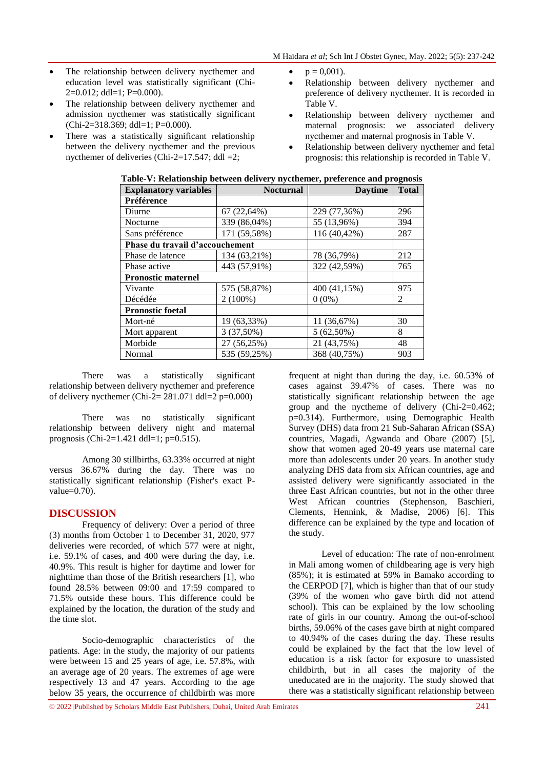- The relationship between delivery nycthemer and education level was statistically significant (Chi- $2=0.012$ ; ddl=1; P=0.000).
- The relationship between delivery nycthemer and admission nycthemer was statistically significant (Chi-2=318.369; ddl=1; P=0.000).
- There was a statistically significant relationship between the delivery nycthemer and the previous nycthemer of deliveries (Chi-2=17.547; ddl =2;
- $p = 0,001$ .
- Relationship between delivery nycthemer and preference of delivery nycthemer. It is recorded in Table V.
- Relationship between delivery nycthemer and maternal prognosis: we associated delivery nycthemer and maternal prognosis in Table V.
- Relationship between delivery nycthemer and fetal prognosis: this relationship is recorded in Table V.

| <b>Explanatory variables</b>    | <b>Nocturnal</b> | <b>Daytime</b> | <b>Total</b> |
|---------------------------------|------------------|----------------|--------------|
| Préférence                      |                  |                |              |
| Diurne                          | 67 (22,64%)      | 229 (77,36%)   | 296          |
| Nocturne                        | 339 (86,04%)     | 55 (13,96%)    | 394          |
| Sans préférence                 | 171 (59,58%)     | 116 (40,42%)   | 287          |
| Phase du travail d'accouchement |                  |                |              |
| Phase de latence                | 134 (63,21%)     | 78 (36,79%)    | 212          |
| Phase active                    | 443 (57,91%)     | 322 (42,59%)   | 765          |
| <b>Pronostic maternel</b>       |                  |                |              |
| Vivante                         | 575 (58,87%)     | 400 (41,15%)   | 975          |
| Décédée                         | $2(100\%)$       | $0(0\%)$       | 2            |
| <b>Pronostic foetal</b>         |                  |                |              |
| Mort-né                         | 19 (63,33%)      | 11 (36,67%)    | 30           |
| Mort apparent                   | $3(37,50\%)$     | $5(62,50\%)$   | 8            |
| Morbide                         | 27 (56,25%)      | 21 (43,75%)    | 48           |
| Normal                          | 535 (59,25%)     | 368 (40,75%)   | 903          |

### **Table-V: Relationship between delivery nycthemer, preference and prognosis**

There was a statistically significant relationship between delivery nycthemer and preference of delivery nycthemer (Chi-2=  $281.071$  ddl=2 p=0.000)

There was no statistically significant relationship between delivery night and maternal prognosis (Chi-2=1.421 ddl=1; p=0.515).

Among 30 stillbirths, 63.33% occurred at night versus 36.67% during the day. There was no statistically significant relationship (Fisher's exact Pvalue=0.70).

## **DISCUSSION**

Frequency of delivery: Over a period of three (3) months from October 1 to December 31, 2020, 977 deliveries were recorded, of which 577 were at night, i.e. 59.1% of cases, and 400 were during the day, i.e. 40.9%. This result is higher for daytime and lower for nighttime than those of the British researchers [1], who found 28.5% between 09:00 and 17:59 compared to 71.5% outside these hours. This difference could be explained by the location, the duration of the study and the time slot.

Socio-demographic characteristics of the patients. Age: in the study, the majority of our patients were between 15 and 25 years of age, i.e. 57.8%, with an average age of 20 years. The extremes of age were respectively 13 and 47 years. According to the age below 35 years, the occurrence of childbirth was more

frequent at night than during the day, i.e. 60.53% of cases against 39.47% of cases. There was no statistically significant relationship between the age group and the nyctheme of delivery (Chi-2=0.462; p=0.314). Furthermore, using Demographic Health Survey (DHS) data from 21 Sub-Saharan African (SSA) countries, Magadi, Agwanda and Obare (2007) [5], show that women aged 20-49 years use maternal care more than adolescents under 20 years. In another study analyzing DHS data from six African countries, age and assisted delivery were significantly associated in the three East African countries, but not in the other three West African countries (Stephenson, Baschieri, Clements, Hennink, & Madise, 2006) [6]. This difference can be explained by the type and location of the study.

Level of education: The rate of non-enrolment in Mali among women of childbearing age is very high (85%); it is estimated at 59% in Bamako according to the CERPOD [7], which is higher than that of our study (39% of the women who gave birth did not attend school). This can be explained by the low schooling rate of girls in our country. Among the out-of-school births, 59.06% of the cases gave birth at night compared to 40.94% of the cases during the day. These results could be explained by the fact that the low level of education is a risk factor for exposure to unassisted childbirth, but in all cases the majority of the uneducated are in the majority. The study showed that there was a statistically significant relationship between